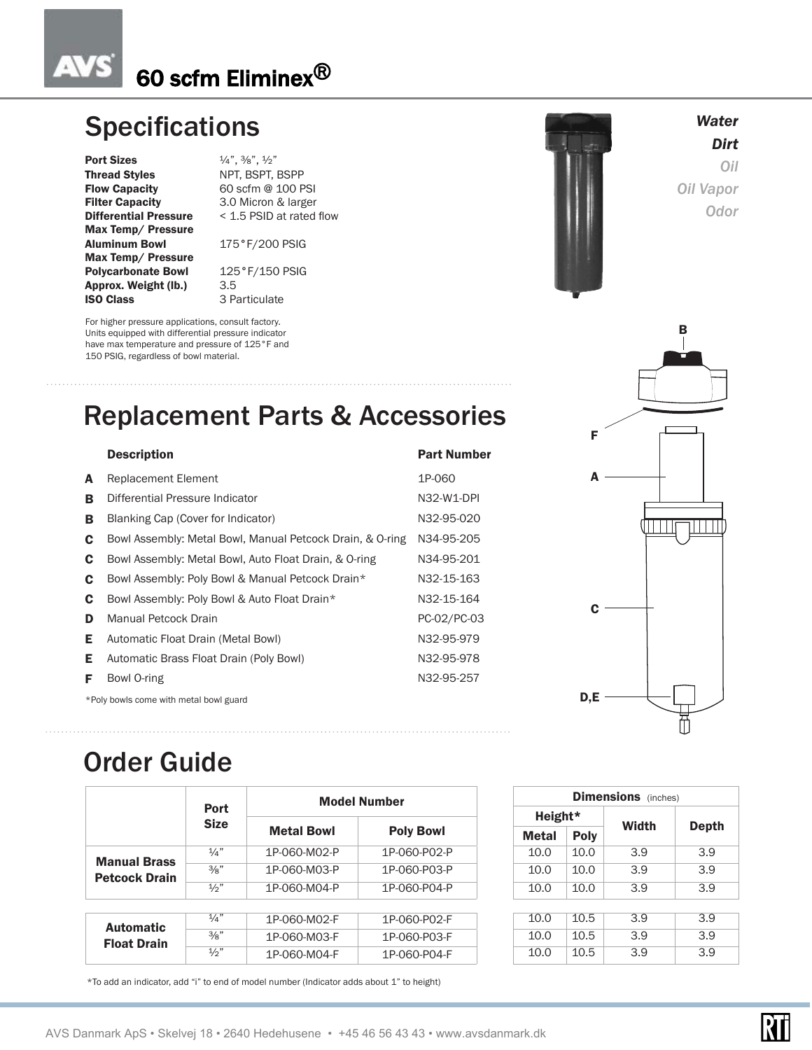# 60 scfm Eliminex®

# **Specifications** *Water* **Water**

**Port Sizes**  $\frac{1}{4}$ ,  $\frac{3}{8}$ ,  $\frac{1}{2}$ " Thread Styles NPT, BSPT, BSPP Flow Capacity 60 scfm @ 100 PSI Filter Capacity 3.0 Micron & larger Max Temp/ Pressure Aluminum Bowl 175°F/200 PSIG Max Temp/ Pressure Polycarbonate Bowl 125°F/150 PSIG **Approx. Weight (lb.)** 3.5<br>**ISO Class** 3 Pa

 $\Delta V$ 

**Differential Pressure** < 1.5 PSID at rated flow

3 Particulate

For higher pressure applications, consult factory. Units equipped with differential pressure indicator have max temperature and pressure of 125°F and 150 PSIG, regardless of bowl material.

# Replacement Parts & Accessories

Description **Part Number** 

### A Replacement Element 1P-060 **B** Differential Pressure Indicator N32-W1-DPI B Blanking Cap (Cover for Indicator) M32-95-020 C Bowl Assembly: Metal Bowl, Manual Petcock Drain, & O-ring N34-95-205

| <b>C</b> Bowl Assembly: Metal Bowl, Auto Float Drain, & O-ring | N34-95-201 |
|----------------------------------------------------------------|------------|
| <b>C</b> Bowl Assembly: Poly Bowl & Manual Petcock Drain*      | N32-15-163 |
| <b>C</b> Bowl Assembly: Poly Bowl & Auto Float Drain*          | N32-15-164 |

| <b>D</b> Manual Petcock Drain                    | PC-02/PC-03 |
|--------------------------------------------------|-------------|
| <b>E</b> Automatic Float Drain (Metal Bowl)      | N32-95-979  |
| <b>E</b> Automatic Brass Float Drain (Poly Bowl) | N32-95-978  |
| <b>F</b> Bowl O-ring                             | N32-95-257  |
|                                                  |             |

\*Poly bowls come with metal bowl guard  $D, E$ 

# Order Guide

|                                             | Port<br><b>Size</b> | <b>Model Number</b>                   |              |              | <b>Dimensions</b> (inches) |              |      |     |  |  |
|---------------------------------------------|---------------------|---------------------------------------|--------------|--------------|----------------------------|--------------|------|-----|--|--|
|                                             |                     |                                       |              |              | Height*                    |              |      |     |  |  |
|                                             |                     | <b>Metal Bowl</b><br><b>Poly Bowl</b> |              | <b>Metal</b> | <b>Poly</b>                | <b>Width</b> | Dept |     |  |  |
|                                             | 1/a''               | 1P-060-M02-P                          | 1P-060-P02-P |              | 10.0                       | 10.0         | 3.9  | 3.9 |  |  |
| <b>Manual Brass</b><br><b>Petcock Drain</b> | $\frac{3}{8}$ "     | 1P-060-M03-P                          | 1P-060-P03-P |              | 10.0                       | 10.0         | 3.9  | 3.9 |  |  |
|                                             | 1/2                 | 1P-060-M04-P                          | 1P-060-P04-P |              | 10.0                       | 10.0         | 3.9  | 3.9 |  |  |
|                                             |                     |                                       |              |              |                            |              |      |     |  |  |
| <b>Automatic</b>                            | $\frac{1}{4}$       | 1P-060-M02-F                          | 1P-060-P02-F |              | 10.0                       | 10.5         | 3.9  | 3.9 |  |  |
| <b>Float Drain</b>                          | $\frac{3}{8}$ "     | 1P-060-M03-F                          | 1P-060-P03-F |              | 10.0                       | 10.5         | 3.9  | 3.9 |  |  |
|                                             | $\frac{1}{2}$ "     | 1P-060-M04-F                          | 1P-060-P04-F |              | 10.0                       | 10.5         | 3.9  | 3.9 |  |  |

\*To add an indicator, add "i" to end of model number (Indicator adds about 1" to height)



|  |  |  |  | AVS Danmark ApS • Skelvej 18 • 2640 Hedehusene • +45 46 56 43 43 • www.avsdanmark.dk |
|--|--|--|--|--------------------------------------------------------------------------------------|
|  |  |  |  |                                                                                      |





*Dirt* 

*Oil Oil Vapor Odor*

NП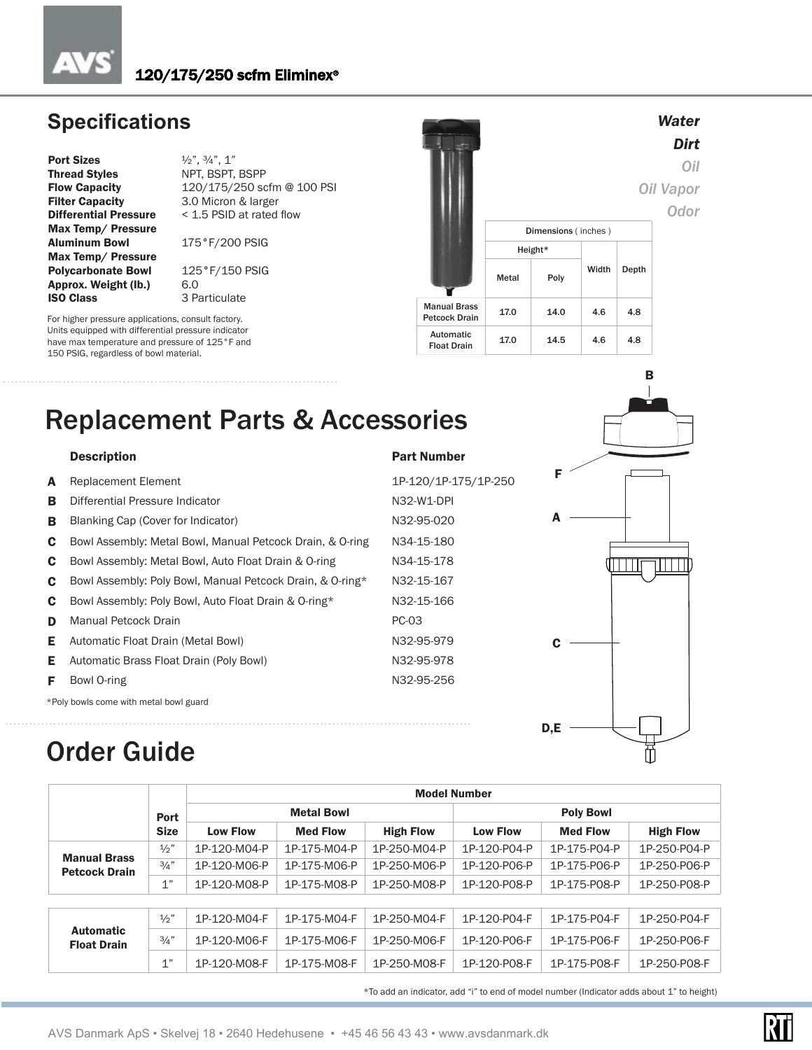## **Specifications**

**Port Sizes**  $\frac{1}{2}$ ,  $\frac{3}{4}$ , 1"<br>**Thread Styles** NPT, BSPT, Thread Styles NPT, BSPT, BSPP<br>Flow Capacity 120/175/250 sc **Differential Pressure** Max Temp/ Pressure Aluminum Bowl 175°F/200 PSIG Max Temp/ Pressure **Polycarbonate Bowl** 125°F/150 PSIG<br>**Approx. Weight (Ib.)** 6.0 Approx. Weight (lb.)<br>ISO Class

Flow Capacity 120/175/250 scfm @ 100 PSI<br>Filter Capacity 3.0 Micron & larger 3.0 Micron & larger<br> $<$  1.5 PSID at rated flow

3 Particulate

For higher pressure applications, consult factory. Units equipped with differential pressure indicator have max temperature and pressure of 125°F and 150 PSIG, regardless of bowl material.



# Replacement Parts & Accessories

|   | <b>Description</b>                                        | <b>Part Number</b>   |
|---|-----------------------------------------------------------|----------------------|
| A | <b>Replacement Element</b>                                | 1P-120/1P-175/1P-250 |
| в | Differential Pressure Indicator                           | N32-W1-DPI           |
| в | Blanking Cap (Cover for Indicator)                        | N32-95-020           |
| C | Bowl Assembly: Metal Bowl, Manual Petcock Drain, & O-ring | N34-15-180           |
| C | Bowl Assembly: Metal Bowl, Auto Float Drain & O-ring      | N34-15-178           |
| C | Bowl Assembly: Poly Bowl, Manual Petcock Drain, & O-ring* | N32-15-167           |
| C | Bowl Assembly: Poly Bowl, Auto Float Drain & O-ring*      | N32-15-166           |
| D | Manual Petcock Drain                                      | PC-03                |
| Е | Automatic Float Drain (Metal Bowl)                        | N32-95-979           |
| Е | Automatic Brass Float Drain (Poly Bowl)                   | N32-95-978           |
| F | Bowl O-ring                                               | N32-95-256           |
|   | *Poly bowls come with metal bowl guard                    |                      |



# Order Guide

|                                        |                 |                 | <b>Model Number</b> |                  |                 |                  |                  |  |  |  |
|----------------------------------------|-----------------|-----------------|---------------------|------------------|-----------------|------------------|------------------|--|--|--|
|                                        | Port            |                 | <b>Metal Bowl</b>   |                  |                 | <b>Poly Bowl</b> |                  |  |  |  |
|                                        | <b>Size</b>     | <b>Low Flow</b> | <b>Med Flow</b>     | <b>High Flow</b> | <b>Low Flow</b> | <b>Med Flow</b>  | <b>High Flow</b> |  |  |  |
| <b>Manual Brass</b>                    | $\frac{1}{2}$ " | 1P-120-M04-P    | 1P-175-M04-P        | 1P-250-M04-P     | 1P-120-P04-P    | 1P-175-P04-P     | 1P-250-P04-P     |  |  |  |
| <b>Petcock Drain</b>                   | 3/4"            | 1P-120-M06-P    | 1P-175-M06-P        | 1P-250-M06-P     | 1P-120-P06-P    | 1P-175-P06-P     | 1P-250-P06-P     |  |  |  |
|                                        | 1"              | 1P-120-M08-P    | 1P-175-M08-P        | 1P-250-M08-P     | 1P-120-P08-P    | 1P-175-P08-P     | 1P-250-P08-P     |  |  |  |
|                                        |                 |                 |                     |                  |                 |                  |                  |  |  |  |
|                                        | 1/2             | 1P-120-M04-F    | 1P-175-M04-F        | 1P-250-M04-F     | 1P-120-P04-F    | 1P-175-P04-F     | 1P-250-P04-F     |  |  |  |
| <b>Automatic</b><br><b>Float Drain</b> | $\frac{3}{4}$ " | 1P-120-M06-F    | 1P-175-M06-F        | 1P-250-M06-F     | 1P-120-P06-F    | 1P-175-P06-F     | 1P-250-P06-F     |  |  |  |
|                                        | 1"              | 1P-120-M08-F    | 1P-175-M08-F        | 1P-250-M08-F     | 1P-120-P08-F    | 1P-175-P08-F     | 1P-250-P08-F     |  |  |  |

\*To add an indicator, add "i" to end of model number (Indicator adds about 1" to height)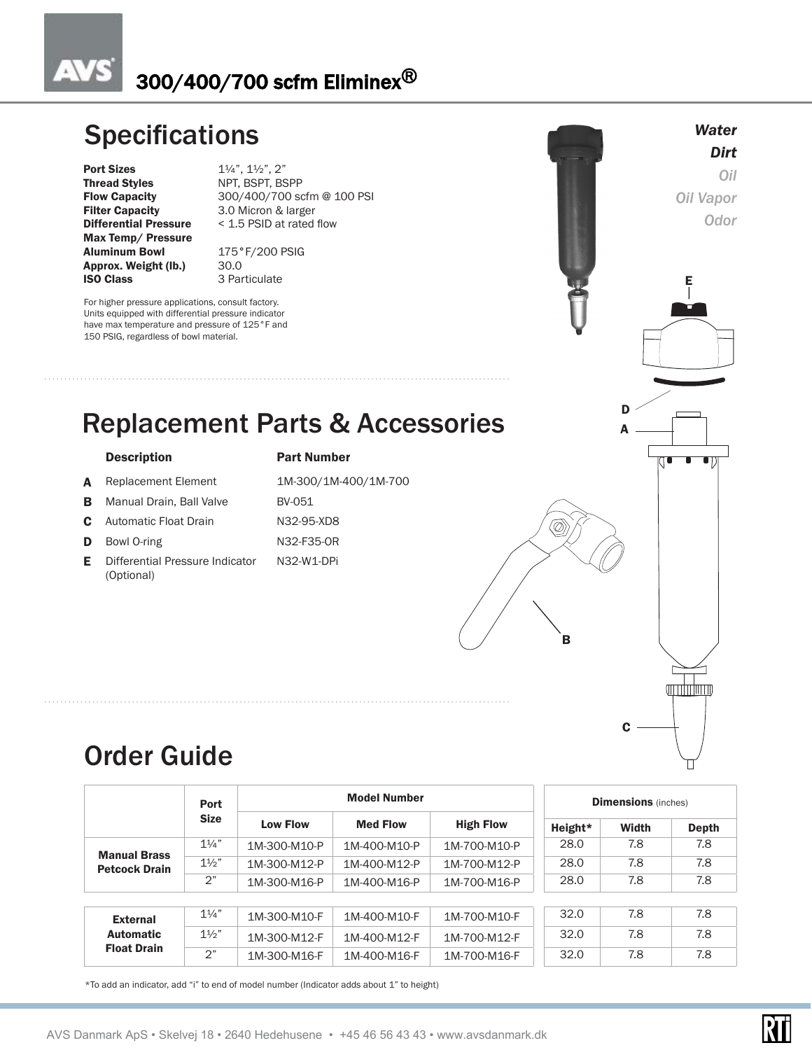### **AVS** 300/400/700 scfm Eliminex®

# **Specifications**

Thread Styles NPT, BSPT, BSPP<br>Flow Capacity 300/400/700 so Max Temp/ Pressure Aluminum Bowl 175°F/200 PSIG Approx. Weight (lb.) 30.0 **ISO Class** 3 Particulate

**Port Sizes** 1¼", 1½", 2"<br> **Thread Styles** NPT, BSPT, BS Flow Capacity 300/400/700 scfm @ 100 PSI<br>
Filter Capacity 3.0 Micron & larger 3.0 Micron & larger **Differential Pressure** < 1.5 PSID at rated flow

For higher pressure applications, consult factory. Units equipped with differential pressure indicator have max temperature and pressure of 125°F and 150 PSIG, regardless of bowl material.



#### Description Part Number

- A Replacement Element 1M-300/1M-400/1M-700
- **B** Manual Drain, Ball Valve BV
- **C** Automatic Float Drain N
- 
- 
- E Differential Pressure Indicator (Optional)

| <b>MILINAILINAI</b> |
|---------------------|
| M-300/1M-400/1M-70( |
| V-051               |
| 132-95-XD8          |

- D Bowl O-ring N32-F35-OR
	- N32-W1-DPi



# Order Guide

|                                             | <b>Port</b><br><b>Size</b> | <b>Model Number</b> |                 |                  |         | <b>Dimensions</b> (inches) |       |  |  |
|---------------------------------------------|----------------------------|---------------------|-----------------|------------------|---------|----------------------------|-------|--|--|
|                                             |                            | <b>Low Flow</b>     | <b>Med Flow</b> | <b>High Flow</b> | Height* | Width                      | Depth |  |  |
|                                             | $1\frac{1}{4}$             | 1M-300-M10-P        | 1M-400-M10-P    | 1M-700-M10-P     | 28.0    | 7.8                        | 7.8   |  |  |
| <b>Manual Brass</b><br><b>Petcock Drain</b> | $1\frac{1}{2}$             | 1M-300-M12-P        | 1M-400-M12-P    | 1M-700-M12-P     | 28.0    | 7.8                        | 7.8   |  |  |
|                                             | 2"                         | 1M-300-M16-P        | 1M-400-M16-P    | 1M-700-M16-P     | 28.0    | 7.8                        | 7.8   |  |  |
|                                             |                            |                     |                 |                  |         |                            |       |  |  |
| <b>External</b>                             | $1\frac{1}{4}$             | 1M-300-M10-F        | 1M-400-M10-F    | 1M-700-M10-F     | 32.0    | 7.8                        | 7.8   |  |  |
| <b>Automatic</b>                            | $1\frac{1}{2}$             | 1M-300-M12-F        | 1M-400-M12-F    | 1M-700-M12-F     | 32.0    | 7.8                        | 7.8   |  |  |
| <b>Float Drain</b>                          | 2"                         | 1M-300-M16-F        | 1M-400-M16-F    | 1M-700-M16-F     | 32.0    | 7.8                        | 7.8   |  |  |

\*To add an indicator, add "i" to end of model number (Indicator adds about 1" to height)

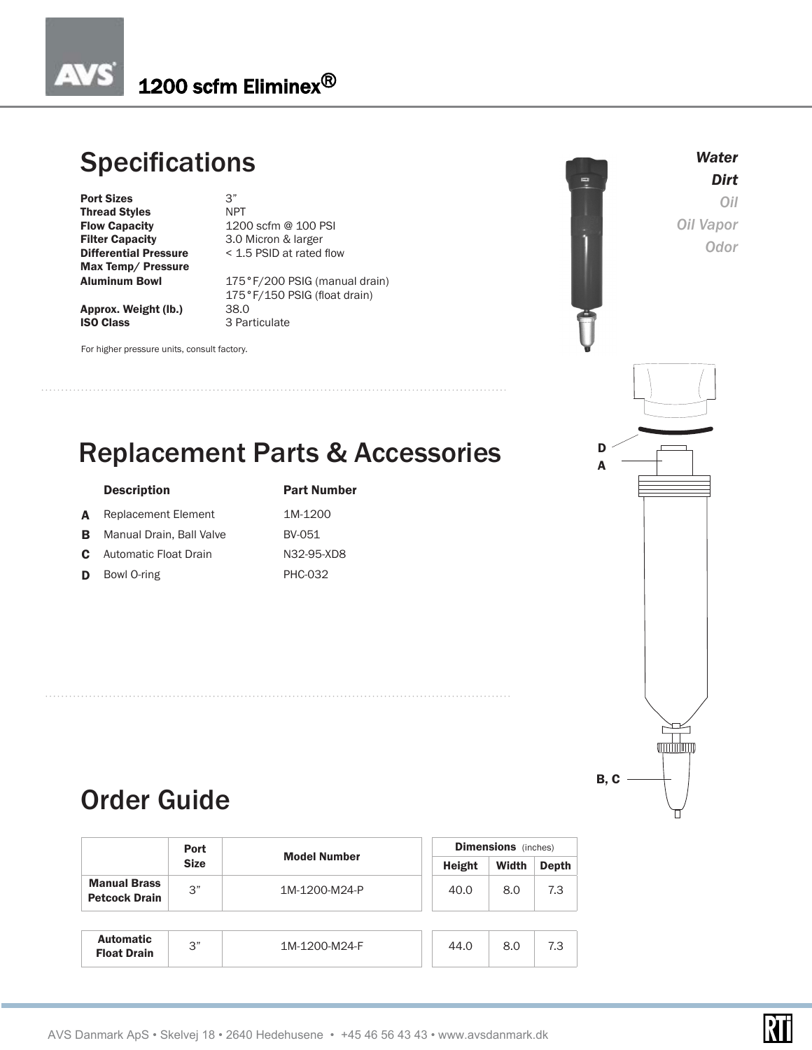## 1200 scfm Eliminex<sup>®</sup>

# **Specifications**

**Port Sizes** 3"<br> **Thread Styles** NPT **Thread Styles<br>Flow Capacity** Flow Capacity 1200 scfm @ 100 PSI<br>Filter Capacity 3.0 Micron & larger Max Temp/ Pressure

3.0 Micron & larger **Differential Pressure** < 1.5 PSID at rated flow

3 Particulate

175°F/200 PSIG (manual drain) 175°F/150 PSIG (float drain)<br>38.0

Approx. Weight (lb.)<br>ISO Class

For higher pressure units, consult factory.



*Water Dirt Oil Oil Vapor Odor*

# Replacement Parts & Accessories

#### Description **Part Number**

- A Replacement Element 1M-1200
- **B** Manual Drain, Ball Valve BV-051
- C Automatic Float Drain N32-95-XD8
- D Bowl O-ring PHC-032



# Order Guide

|                                             | <b>Port</b> | <b>Model Number</b> | <b>Dimensions</b> (inches) |       |       |  |  |
|---------------------------------------------|-------------|---------------------|----------------------------|-------|-------|--|--|
|                                             | <b>Size</b> |                     | Height                     | Width | Depth |  |  |
| <b>Manual Brass</b><br><b>Petcock Drain</b> | 3"          | 1M-1200-M24-P       | 40.0                       | 8.0   | 7.3   |  |  |
|                                             |             |                     |                            |       |       |  |  |
| <b>Automatic</b><br><b>Float Drain</b>      | 3"          | 1M-1200-M24-F       | 44.0                       | 8.0   | 7.3   |  |  |